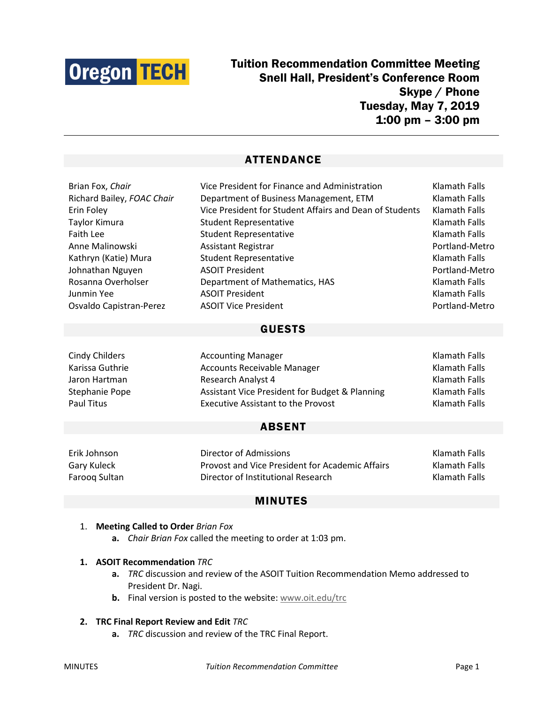

# Tuition Recommendation Committee Meeting Snell Hall, President's Conference Room Skype / Phone Tuesday, May 7, 2019 1:00 pm – 3:00 pm

# ATTENDANCE

| Brian Fox, Chair           | Vice President for Finance and Administration           | Klamath Falls  |
|----------------------------|---------------------------------------------------------|----------------|
| Richard Bailey, FOAC Chair | Department of Business Management, ETM                  | Klamath Falls  |
| Erin Foley                 | Vice President for Student Affairs and Dean of Students | Klamath Falls  |
| Taylor Kimura              | <b>Student Representative</b>                           | Klamath Falls  |
| <b>Faith Lee</b>           | <b>Student Representative</b>                           | Klamath Falls  |
| Anne Malinowski            | Assistant Registrar                                     | Portland-Metro |
| Kathryn (Katie) Mura       | <b>Student Representative</b>                           | Klamath Falls  |
| Johnathan Nguyen           | <b>ASOIT President</b>                                  | Portland-Metro |
| Rosanna Overholser         | Department of Mathematics, HAS                          | Klamath Falls  |
| Junmin Yee                 | <b>ASOIT President</b>                                  | Klamath Falls  |
| Osvaldo Capistran-Perez    | <b>ASOIT Vice President</b>                             | Portland-Metro |
|                            | <b>GUESTS</b>                                           |                |

| Cindy Childers  | <b>Accounting Manager</b>                      | Klamath Falls        |
|-----------------|------------------------------------------------|----------------------|
| Karissa Guthrie | <b>Accounts Receivable Manager</b>             | <b>Klamath Falls</b> |
| Jaron Hartman   | <b>Research Analyst 4</b>                      | Klamath Falls        |
| Stephanie Pope  | Assistant Vice President for Budget & Planning | Klamath Falls        |
| Paul Titus      | <b>Executive Assistant to the Provost</b>      | Klamath Falls        |

### ABSENT

Erik Johnson Director of Admissions Klamath Falls Gary Kuleck **Exercise 2 Constant Provost and Vice President for Academic Affairs** Klamath Falls Farooq Sultan **Director of Institutional Research** Klamath Falls

## MINUTES

#### 1. **Meeting Called to Order** *Brian Fox*

**a.** *Chair Brian Fox* called the meeting to order at 1:03 pm.

#### **1. ASOIT Recommendation** *TRC*

- **a.** *TRC* discussion and review of the ASOIT Tuition Recommendation Memo addressed to President Dr. Nagi.
- **b.** Final version is posted to the website[: www.oit.edu/trc](http://www.oit.edu/trc)

#### **2. TRC Final Report Review and Edit** *TRC*

**a.** *TRC* discussion and review of the TRC Final Report.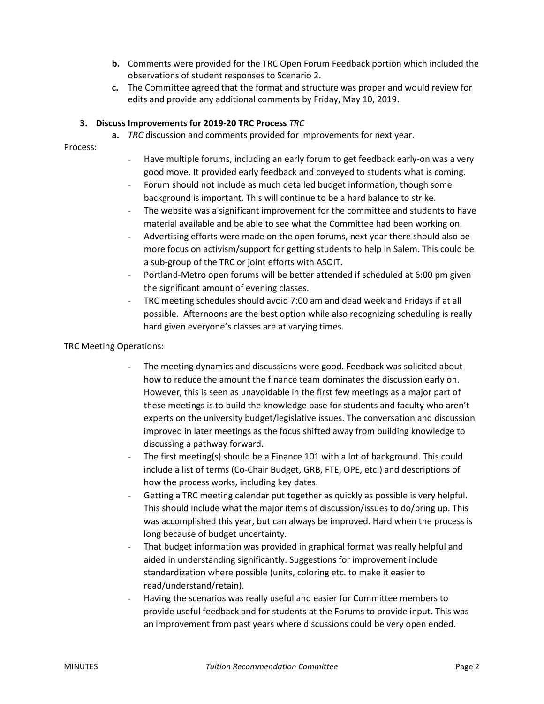- **b.** Comments were provided for the TRC Open Forum Feedback portion which included the observations of student responses to Scenario 2.
- **c.** The Committee agreed that the format and structure was proper and would review for edits and provide any additional comments by Friday, May 10, 2019.

#### **3. Discuss Improvements for 2019-20 TRC Process** *TRC*

**a.** *TRC* discussion and comments provided for improvements for next year.

Process:

- Have multiple forums, including an early forum to get feedback early-on was a very good move. It provided early feedback and conveyed to students what is coming.
- Forum should not include as much detailed budget information, though some background is important. This will continue to be a hard balance to strike.
- The website was a significant improvement for the committee and students to have material available and be able to see what the Committee had been working on.
- Advertising efforts were made on the open forums, next year there should also be more focus on activism/support for getting students to help in Salem. This could be a sub-group of the TRC or joint efforts with ASOIT.
- Portland-Metro open forums will be better attended if scheduled at 6:00 pm given the significant amount of evening classes.
- TRC meeting schedules should avoid 7:00 am and dead week and Fridays if at all possible. Afternoons are the best option while also recognizing scheduling is really hard given everyone's classes are at varying times.

#### TRC Meeting Operations:

- The meeting dynamics and discussions were good. Feedback was solicited about how to reduce the amount the finance team dominates the discussion early on. However, this is seen as unavoidable in the first few meetings as a major part of these meetings is to build the knowledge base for students and faculty who aren't experts on the university budget/legislative issues. The conversation and discussion improved in later meetings as the focus shifted away from building knowledge to discussing a pathway forward.
- The first meeting(s) should be a Finance 101 with a lot of background. This could include a list of terms (Co-Chair Budget, GRB, FTE, OPE, etc.) and descriptions of how the process works, including key dates.
- Getting a TRC meeting calendar put together as quickly as possible is very helpful. This should include what the major items of discussion/issues to do/bring up. This was accomplished this year, but can always be improved. Hard when the process is long because of budget uncertainty.
- That budget information was provided in graphical format was really helpful and aided in understanding significantly. Suggestions for improvement include standardization where possible (units, coloring etc. to make it easier to read/understand/retain).
- Having the scenarios was really useful and easier for Committee members to provide useful feedback and for students at the Forums to provide input. This was an improvement from past years where discussions could be very open ended.